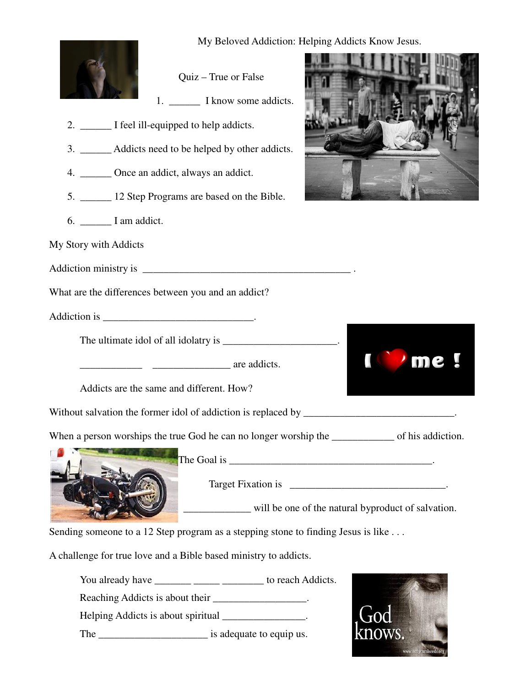

My Beloved Addiction: Helping Addicts Know Jesus.





1. I know some addicts.

Quiz – True or False

- 2. \_\_\_\_\_\_ I feel ill-equipped to help addicts.
- 3. \_\_\_\_\_\_ Addicts need to be helped by other addicts.
- 4. \_\_\_\_\_\_ Once an addict, always an addict.
- 5. \_\_\_\_\_\_ 12 Step Programs are based on the Bible.
- 6. \_\_\_\_\_\_ I am addict.
- My Story with Addicts

Addiction ministry is \_\_\_\_\_\_\_\_\_\_\_\_\_\_\_\_\_\_\_\_\_\_\_\_\_\_\_\_\_\_\_\_\_\_\_\_\_\_\_\_ .

What are the differences between you and an addict?

Addiction is \_\_\_\_\_\_\_\_\_\_\_\_\_\_\_\_\_\_\_\_\_\_\_\_\_\_\_\_\_.

The ultimate idol of all idolatry is

 $\frac{1}{\sqrt{1-\frac{1}{\sqrt{1-\frac{1}{\sqrt{1-\frac{1}{\sqrt{1-\frac{1}{\sqrt{1-\frac{1}{\sqrt{1-\frac{1}{\sqrt{1-\frac{1}{\sqrt{1-\frac{1}{\sqrt{1-\frac{1}{\sqrt{1-\frac{1}{\sqrt{1-\frac{1}{\sqrt{1-\frac{1}{\sqrt{1-\frac{1}{\sqrt{1-\frac{1}{\sqrt{1-\frac{1}{\sqrt{1-\frac{1}{\sqrt{1-\frac{1}{\sqrt{1-\frac{1}{\sqrt{1-\frac{1}{\sqrt{1-\frac{1}{\sqrt{1-\frac{1}{\sqrt{1-\frac{1}{\sqrt{1-\frac{1}{\sqrt{1-\frac{1$ 

Addicts are the same and different. How?

Without salvation the former idol of addiction is replaced by \_\_\_\_\_\_\_\_\_\_\_\_\_\_\_\_\_\_\_\_\_\_\_\_\_\_\_\_\_.

When a person worships the true God he can no longer worship the \_\_\_\_\_\_\_\_\_\_\_\_\_\_ of his addiction.



The Goal is  $\overline{\phantom{a}}$ 

Target Fixation is \_\_\_\_\_\_\_\_\_\_\_\_\_\_\_\_\_\_\_\_\_\_\_\_\_\_\_\_\_\_\_\_\_\_.

\_\_\_\_\_\_\_\_\_\_\_\_\_ will be one of the natural byproduct of salvation.

Sending someone to a 12 Step program as a stepping stone to finding Jesus is like ...

A challenge for true love and a Bible based ministry to addicts.

You already have \_\_\_\_\_\_\_ \_\_\_\_\_ \_\_\_\_\_ to reach Addicts.

Reaching Addicts is about their  $\blacksquare$ 

Helping Addicts is about spiritual \_\_\_\_\_\_\_\_\_\_\_\_\_\_\_.

The settled is adequate to equip us.